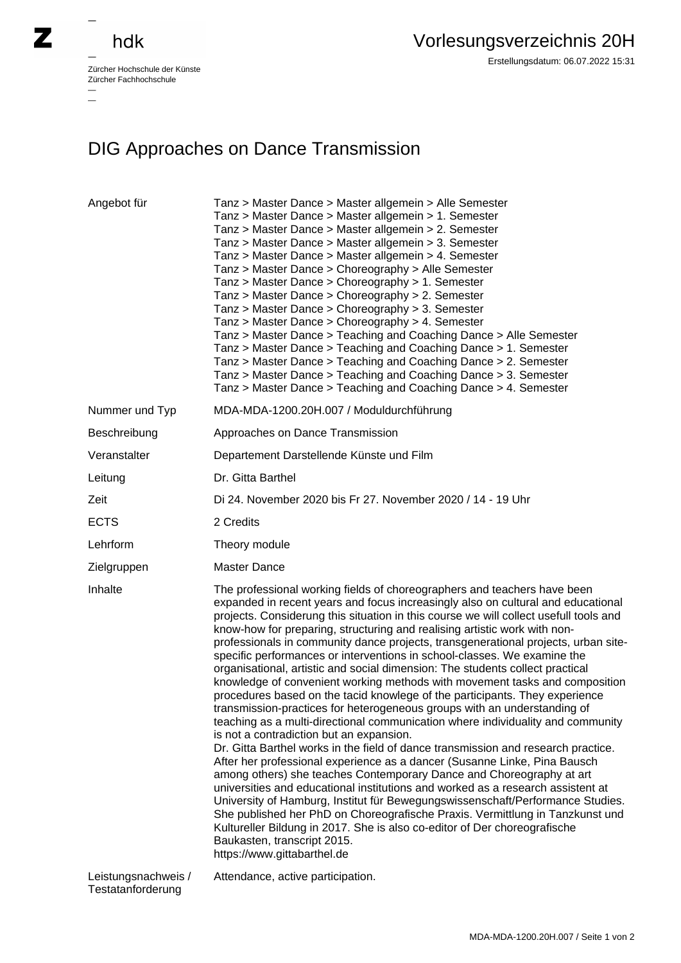## hdk

—

Zürcher Hochschule der Künste Zürcher Fachhochschule —

Erstellungsdatum: 06.07.2022 15:31

## DIG Approaches on Dance Transmission

| Angebot für                              | Tanz > Master Dance > Master allgemein > Alle Semester<br>Tanz > Master Dance > Master allgemein > 1. Semester<br>Tanz > Master Dance > Master allgemein > 2. Semester<br>Tanz > Master Dance > Master allgemein > 3. Semester<br>Tanz > Master Dance > Master allgemein > 4. Semester<br>Tanz > Master Dance > Choreography > Alle Semester<br>Tanz > Master Dance > Choreography > 1. Semester<br>Tanz > Master Dance > Choreography > 2. Semester<br>Tanz > Master Dance > Choreography > 3. Semester<br>Tanz > Master Dance > Choreography > 4. Semester<br>Tanz > Master Dance > Teaching and Coaching Dance > Alle Semester<br>Tanz > Master Dance > Teaching and Coaching Dance > 1. Semester<br>Tanz > Master Dance > Teaching and Coaching Dance > 2. Semester<br>Tanz > Master Dance > Teaching and Coaching Dance > 3. Semester<br>Tanz > Master Dance > Teaching and Coaching Dance > 4. Semester                                                                                                                                                                                                                                                                                                                                                                                                                                                                                                                                                                                                                                                                                             |
|------------------------------------------|-----------------------------------------------------------------------------------------------------------------------------------------------------------------------------------------------------------------------------------------------------------------------------------------------------------------------------------------------------------------------------------------------------------------------------------------------------------------------------------------------------------------------------------------------------------------------------------------------------------------------------------------------------------------------------------------------------------------------------------------------------------------------------------------------------------------------------------------------------------------------------------------------------------------------------------------------------------------------------------------------------------------------------------------------------------------------------------------------------------------------------------------------------------------------------------------------------------------------------------------------------------------------------------------------------------------------------------------------------------------------------------------------------------------------------------------------------------------------------------------------------------------------------------------------------------------------------------------------------------|
| Nummer und Typ                           | MDA-MDA-1200.20H.007 / Moduldurchführung                                                                                                                                                                                                                                                                                                                                                                                                                                                                                                                                                                                                                                                                                                                                                                                                                                                                                                                                                                                                                                                                                                                                                                                                                                                                                                                                                                                                                                                                                                                                                                  |
| Beschreibung                             | Approaches on Dance Transmission                                                                                                                                                                                                                                                                                                                                                                                                                                                                                                                                                                                                                                                                                                                                                                                                                                                                                                                                                                                                                                                                                                                                                                                                                                                                                                                                                                                                                                                                                                                                                                          |
| Veranstalter                             | Departement Darstellende Künste und Film                                                                                                                                                                                                                                                                                                                                                                                                                                                                                                                                                                                                                                                                                                                                                                                                                                                                                                                                                                                                                                                                                                                                                                                                                                                                                                                                                                                                                                                                                                                                                                  |
| Leitung                                  | Dr. Gitta Barthel                                                                                                                                                                                                                                                                                                                                                                                                                                                                                                                                                                                                                                                                                                                                                                                                                                                                                                                                                                                                                                                                                                                                                                                                                                                                                                                                                                                                                                                                                                                                                                                         |
| Zeit                                     | Di 24. November 2020 bis Fr 27. November 2020 / 14 - 19 Uhr                                                                                                                                                                                                                                                                                                                                                                                                                                                                                                                                                                                                                                                                                                                                                                                                                                                                                                                                                                                                                                                                                                                                                                                                                                                                                                                                                                                                                                                                                                                                               |
| <b>ECTS</b>                              | 2 Credits                                                                                                                                                                                                                                                                                                                                                                                                                                                                                                                                                                                                                                                                                                                                                                                                                                                                                                                                                                                                                                                                                                                                                                                                                                                                                                                                                                                                                                                                                                                                                                                                 |
| Lehrform                                 | Theory module                                                                                                                                                                                                                                                                                                                                                                                                                                                                                                                                                                                                                                                                                                                                                                                                                                                                                                                                                                                                                                                                                                                                                                                                                                                                                                                                                                                                                                                                                                                                                                                             |
| Zielgruppen                              | <b>Master Dance</b>                                                                                                                                                                                                                                                                                                                                                                                                                                                                                                                                                                                                                                                                                                                                                                                                                                                                                                                                                                                                                                                                                                                                                                                                                                                                                                                                                                                                                                                                                                                                                                                       |
| Inhalte                                  | The professional working fields of choreographers and teachers have been<br>expanded in recent years and focus increasingly also on cultural and educational<br>projects. Considerung this situation in this course we will collect usefull tools and<br>know-how for preparing, structuring and realising artistic work with non-<br>professionals in community dance projects, transgenerational projects, urban site-<br>specific performances or interventions in school-classes. We examine the<br>organisational, artistic and social dimension: The students collect practical<br>knowledge of convenient working methods with movement tasks and composition<br>procedures based on the tacid knowlege of the participants. They experience<br>transmission-practices for heterogeneous groups with an understanding of<br>teaching as a multi-directional communication where individuality and community<br>is not a contradiction but an expansion.<br>Dr. Gitta Barthel works in the field of dance transmission and research practice.<br>After her professional experience as a dancer (Susanne Linke, Pina Bausch<br>among others) she teaches Contemporary Dance and Choreography at art<br>universities and educational institutions and worked as a research assistent at<br>University of Hamburg, Institut für Bewegungswissenschaft/Performance Studies.<br>She published her PhD on Choreografische Praxis. Vermittlung in Tanzkunst und<br>Kultureller Bildung in 2017. She is also co-editor of Der choreografische<br>Baukasten, transcript 2015.<br>https://www.gittabarthel.de |
| Leistungsnachweis /<br>Testatanforderung | Attendance, active participation.                                                                                                                                                                                                                                                                                                                                                                                                                                                                                                                                                                                                                                                                                                                                                                                                                                                                                                                                                                                                                                                                                                                                                                                                                                                                                                                                                                                                                                                                                                                                                                         |